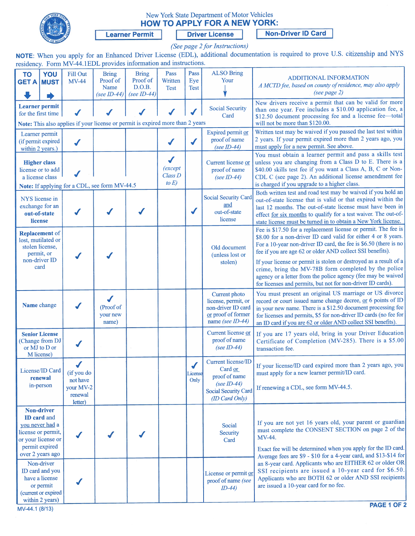

# New York State Department of Motor Vehicles HOW TO APPLY FOR A NEW YORK:

Learner Permit | Driver License Non-Driver ID Card

(See page 2 for Instructions)

NOTE: When you apply for an Enhanced Driver License (EDL), additional documentation is required to prove U.S. citizenship and NYS residency. Form MV-44.1EDL provides information and instructions.

| <b>TO</b><br><b>GET A MUST</b>                                                                                                               | YOU | Fill Out<br><b>MV-44</b>                                  | <b>Bring</b><br>Proof of<br>Name<br>(see ID-44) | <b>Bring</b><br>Proof of<br>D.O.B.<br>(see $ID-44$ ) | Pass<br>Written<br><b>Test</b>                 | Pass<br>Eye<br><b>Test</b>                  | <b>ALSO Bring</b><br>Your                                                                                      | <b>ADDITIONAL INFORMATION</b><br>A MCTD fee, based on county of residence, may also apply<br>(see page 2)                                                                                                                                                                                                                                                                                      |
|----------------------------------------------------------------------------------------------------------------------------------------------|-----|-----------------------------------------------------------|-------------------------------------------------|------------------------------------------------------|------------------------------------------------|---------------------------------------------|----------------------------------------------------------------------------------------------------------------|------------------------------------------------------------------------------------------------------------------------------------------------------------------------------------------------------------------------------------------------------------------------------------------------------------------------------------------------------------------------------------------------|
| <b>Learner</b> permit<br>for the first time<br>Note: This also applies if your license or permit is expired more than 2 years                |     |                                                           |                                                 |                                                      |                                                |                                             | <b>Social Security</b><br>Card                                                                                 | New drivers receive a permit that can be valid for more<br>than one year. Fee includes a \$10.00 application fee, a<br>\$12.50 document processing fee and a license fee-total<br>will not be more than \$120.00.                                                                                                                                                                              |
| Learner permit<br>(if permit expired<br>within 2 years.)                                                                                     |     | $\blacktriangledown$                                      |                                                 |                                                      | $\checkmark$                                   | $\checkmark$                                | Expired permit or<br>proof of name<br>(see ID-44)                                                              | Written test may be waived if you passed the last test within<br>2 years. If your permit expired more than 2 years ago, you<br>must apply for a new permit. See above.                                                                                                                                                                                                                         |
| <b>Higher class</b><br>license or to add<br>a license class<br>Note: If applying for a CDL, see form MV-44.5                                 |     |                                                           |                                                 |                                                      | $\checkmark$<br>(except<br>Class D<br>to $E$ ) |                                             | Current license or<br>proof of name<br>(see ID-44)                                                             | You must obtain a learner permit and pass a skills test<br>unless you are changing from a Class D to E. There is a<br>\$40.00 skills test fee if you want a Class A, B, C or Non-<br>CDL C (see page 2). An additional license amendment fee<br>is charged if you upgrade to a higher class.                                                                                                   |
| NYS license in<br>exchange for an<br>out-of-state<br>license                                                                                 |     |                                                           |                                                 |                                                      |                                                | ✔                                           | <b>Social Security Card</b><br>and<br>out-of-state<br>license                                                  | Both written test and road test may be waived if you hold an<br>out-of-state license that is valid or that expired within the<br>last 12 months. The out-of-state license must have been in<br>effect for six months to qualify for a test waiver. The out-of-<br>state license must be turned in to obtain a New York license.                                                                |
| <b>Replacement</b> of<br>lost, mutilated or<br>stolen license,<br>permit, or<br>non-driver ID<br>card                                        |     |                                                           |                                                 |                                                      |                                                |                                             | Old document<br>(unless lost or<br>stolen)                                                                     | Fee is \$17.50 for a replacement license or permit. The fee is<br>\$8.00 for a non-driver ID card valid for either 4 or 8 years.<br>For a 10-year non-driver ID card, the fee is \$6.50 (there is no<br>fee if you are age 62 or older AND collect SSI benefits).<br>If your license or permit is stolen or destroyed as a result of a<br>crime, bring the MV-78B form completed by the police |
|                                                                                                                                              |     |                                                           |                                                 |                                                      |                                                |                                             |                                                                                                                | agency or a letter from the police agency (fee may be waived<br>for licenses and permits, but not for non-driver ID cards).                                                                                                                                                                                                                                                                    |
| Name change                                                                                                                                  |     |                                                           | J<br>(Proof of<br>your new<br>name)             |                                                      |                                                |                                             | Current photo<br>license, permit, or<br>non-driver ID card<br>or proof of former<br>name (see ID-44)           | You must present an original US marriage or US divorce<br>record or court issued name change decree, or 6 points of ID<br>in your new name. There is a \$12.50 document processing fee<br>for licenses and permits, \$5 for non-driver ID cards (no fee for<br>an ID card if you are 62 or older AND collect SSI benefits).                                                                    |
| <b>Senior License</b><br>(Change from DJ<br>or MJ to D or<br>M license)                                                                      |     |                                                           |                                                 |                                                      |                                                |                                             | Current license or<br>proof of name<br>(see ID-44)                                                             | If you are 17 years old, bring in your Driver Education<br>Certificate of Completion (MV-285). There is a \$5.00<br>transaction fee.                                                                                                                                                                                                                                                           |
| License/ID Card<br>renewal<br>in-person                                                                                                      |     | (if you do<br>not have<br>your MV-2<br>renewal<br>letter) |                                                 |                                                      |                                                | $\overline{\mathcal{A}}$<br>License<br>Only | Current license/ID<br>Card or<br>proof of name<br>(see ID-44)<br><b>Social Security Card</b><br>(ID Card Only) | If your license/ID card expired more than 2 years ago, you<br>must apply for a new learner permit/ID card.<br>If renewing a CDL, see form MV-44.5.                                                                                                                                                                                                                                             |
| <b>Non-driver</b><br><b>ID</b> card and<br>you never had a<br>license or permit,<br>or your license or<br>permit expired<br>over 2 years ago |     |                                                           |                                                 |                                                      |                                                |                                             | Social<br>Security<br>Card                                                                                     | If you are not yet 16 years old, your parent or guardian<br>must complete the CONSENT SECTION on page 2 of the<br>MV-44.<br>Exact fee will be determined when you apply for the ID card.<br>Average fees are \$9 - \$10 for a 4-year card, and \$13-\$14 for                                                                                                                                   |
| Non-driver<br>ID card and you<br>have a license<br>or permit<br>(current or expired<br>within 2 years)                                       |     |                                                           |                                                 |                                                      |                                                |                                             | License or permit or<br>proof of name (see<br>$ID-44)$                                                         | an 8-year card. Applicants who are EITHER 62 or older OR<br>SSI recipients are issued a 10-year card for \$6.50.<br>Applicants who are BOTH 62 or older AND SSI recipients<br>are issued a 10-year card for no fee.                                                                                                                                                                            |
| MV-44.1 (8/13)                                                                                                                               |     |                                                           |                                                 |                                                      |                                                |                                             |                                                                                                                | PAGE 1 OF 2                                                                                                                                                                                                                                                                                                                                                                                    |